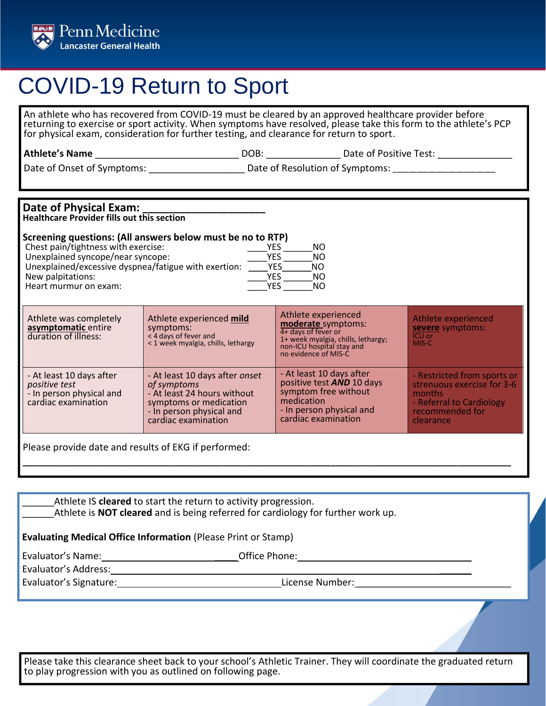

## COVID-19 Return to Sport

An athlete who has recovered from COVID-19 must be cleared by an approved healthcare provider before returning to exercise or sport activity. When symptoms have resolved, please take this form to the athlete's PCP for physical exam, consideration for further testing, and clearance for return to sport.

**Athlete's Name** \_\_\_\_\_\_\_\_\_\_\_\_\_\_\_\_\_\_\_\_\_\_\_\_\_\_\_ DOB: \_\_\_\_\_\_\_\_\_\_\_\_\_\_ Date of Positive Test: \_\_\_\_\_\_\_\_\_\_\_\_\_\_

Date of Onset of Symptoms: \_\_\_\_\_\_\_\_\_\_\_\_\_\_\_\_\_\_ Date of Resolution of Symptoms: \_\_\_\_\_\_\_\_\_\_\_\_\_\_\_\_\_\_\_\_\_\_\_\_\_\_

## **Date of Physical Exam: \_\_\_\_\_\_\_\_\_\_\_\_\_\_\_\_\_\_\_\_\_\_\_**

**Healthcare Provider fills out this section**

## **Screening questions: (All answers below must be no to RTP)**

| Chest pain/tightness with exercise:                  | YFS        | NΟ  |
|------------------------------------------------------|------------|-----|
| Unexplained syncope/near syncope:                    | YFS        | NO  |
| Unexplained/excessive dyspnea/fatigue with exertion: | <b>YFS</b> | NO. |
| New palpitations:                                    | YFS        | NΟ  |
| Heart murmur on exam:                                | YF۲        | NΟ  |
|                                                      |            |     |

| Athlete was completely<br>asymptomatic entire<br>duration of illness:                        | Athlete experienced mild<br>symptoms:<br>< 4 days of fever and<br>< 1 week myalgia, chills, lethargy                                                      | Athlete experienced<br>moderate symptoms:<br>4+ days of fever or<br>1+ week myalgia, chills, lethargy;<br>non-ICU hospital stay and<br>no evidence of MIS-C | Athlete experienced<br>severe symptoms:<br>ICU or<br>MIS-C                                                                      |
|----------------------------------------------------------------------------------------------|-----------------------------------------------------------------------------------------------------------------------------------------------------------|-------------------------------------------------------------------------------------------------------------------------------------------------------------|---------------------------------------------------------------------------------------------------------------------------------|
| - At least 10 days after<br>positive test<br>- In person physical and<br>cardiac examination | - At least 10 days after onset<br>of symptoms<br>- At least 24 hours without<br>symptoms or medication<br>- In person physical and<br>cardiac examination | - At least 10 days after<br>positive test <b>AND</b> 10 days<br>symptom free without<br>medication<br>- In person physical and<br>cardiac examination       | - Restricted from sports or<br>strenuous exercise for 3-6<br>months<br>- Referral to Cardiology<br>recommended for<br>clearance |

**\_\_\_\_\_\_\_\_\_\_\_\_\_\_\_\_\_\_\_\_\_\_\_\_\_\_\_\_\_\_\_\_\_\_\_\_\_\_\_\_\_\_\_\_\_\_\_\_\_\_\_\_\_\_\_\_\_\_\_\_\_\_\_\_\_\_\_\_\_\_\_\_\_\_\_\_\_\_\_\_\_\_\_\_\_\_\_\_\_\_\_\_\_\_\_\_\_\_\_\_**

Please provide date and results of EKG if performed:

Athlete IS **cleared** to start the return to activity progression. \_\_\_\_\_\_Athlete is **NOT cleared** and is being referred for cardiology for further work up.

**Evaluating Medical Office Information** (Please Print or Stamp)

Evaluator's Name: \_\_\_\_ Office Phone:

Evaluator's Address: \_\_\_\_\_\_ Evaluator's Signature: License Number: License Number: License Number: License Number: License Number: License Number: License Number: License Number: License Number: License Number: License Number: License Number: License

Please take this clearance sheet back to your school's Athletic Trainer. They will coordinate the graduated return to play progression with you as outlined on following page.